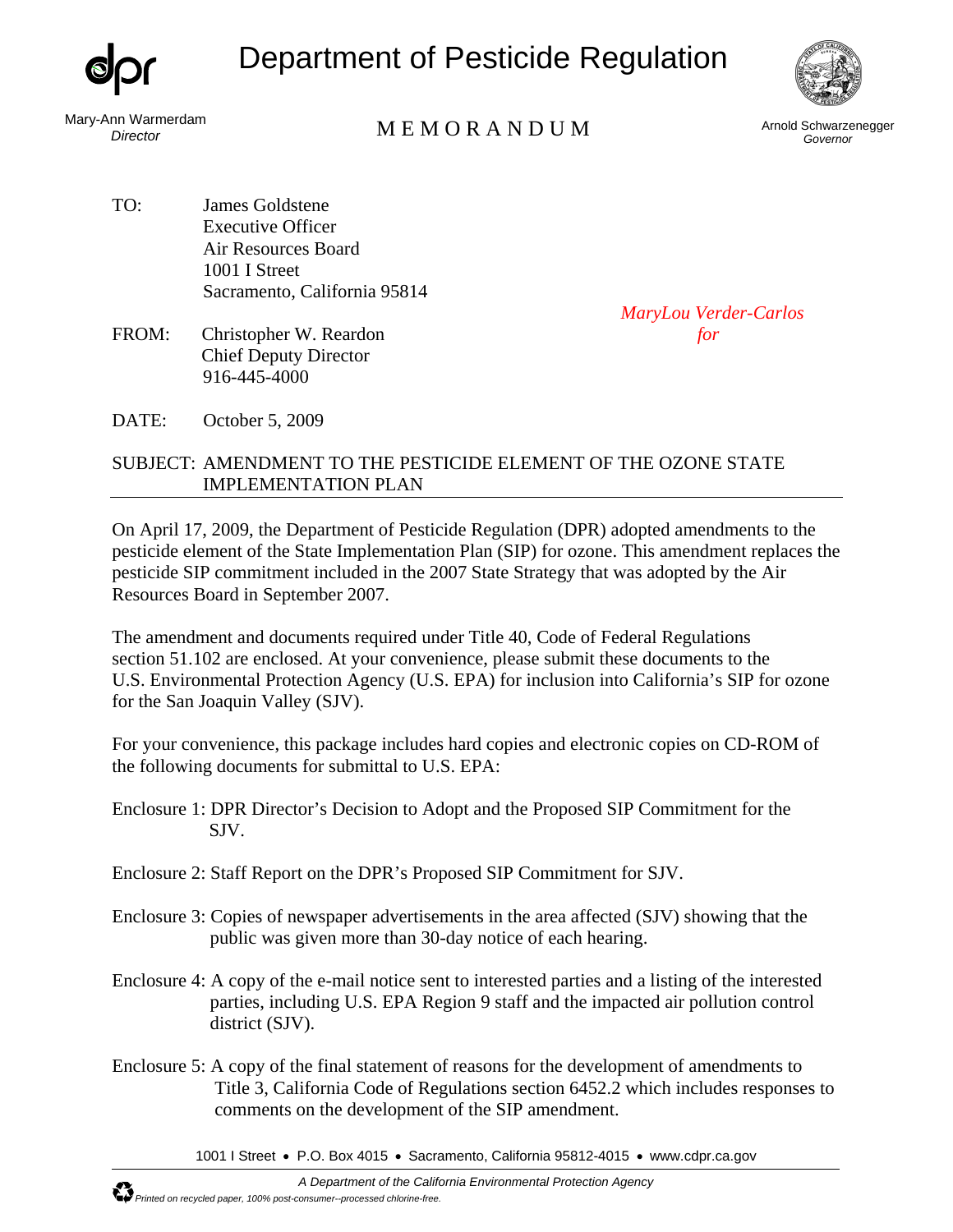

## Department of Pesticide Regulation



Mary-Ann Warmerdam

## nn warmerdam<br>*Director* M E M O R A N D U M Arnold Schwarzenegger

*Governor* 

- TO: James Goldstene Executive Officer Air Resources Board 1001 I Street Sacramento, California 95814
- FROM: Christopher W. Reardon *for* Chief Deputy Director 916-445-4000

*MaryLou Verder-Carlos* 

DATE: October 5, 2009

## SUBJECT: AMENDMENT TO THE PESTICIDE ELEMENT OF THE OZONE STATE IMPLEMENTATION PLAN

On April 17, 2009, the Department of Pesticide Regulation (DPR) adopted amendments to the pesticide element of the State Implementation Plan (SIP) for ozone. This amendment replaces the pesticide SIP commitment included in the 2007 State Strategy that was adopted by the Air Resources Board in September 2007.

The amendment and documents required under Title 40, Code of Federal Regulations section 51.102 are enclosed. At your convenience, please submit these documents to the U.S. Environmental Protection Agency (U.S. EPA) for inclusion into California's SIP for ozone for the San Joaquin Valley (SJV).

For your convenience, this package includes hard copies and electronic copies on CD-ROM of the following documents for submittal to U.S. EPA:

- Enclosure 1: DPR Director's Decision to Adopt and the Proposed SIP Commitment for the SJV.
- Enclosure 2: Staff Report on the DPR's Proposed SIP Commitment for SJV.
- Enclosure 3: Copies of newspaper advertisements in the area affected (SJV) showing that the public was given more than 30-day notice of each hearing.
- Enclosure 4: A copy of the e-mail notice sent to interested parties and a listing of the interested parties, including U.S. EPA Region 9 staff and the impacted air pollution control district (SJV).
- Enclosure 5: A copy of the final statement of reasons for the development of amendments to Title 3, California Code of Regulations section 6452.2 which includes responses to comments on the development of the SIP amendment.

1001 I Street • P.O. Box 4015 • Sacramento, California 95812-4015 • www.cdpr.ca.gov